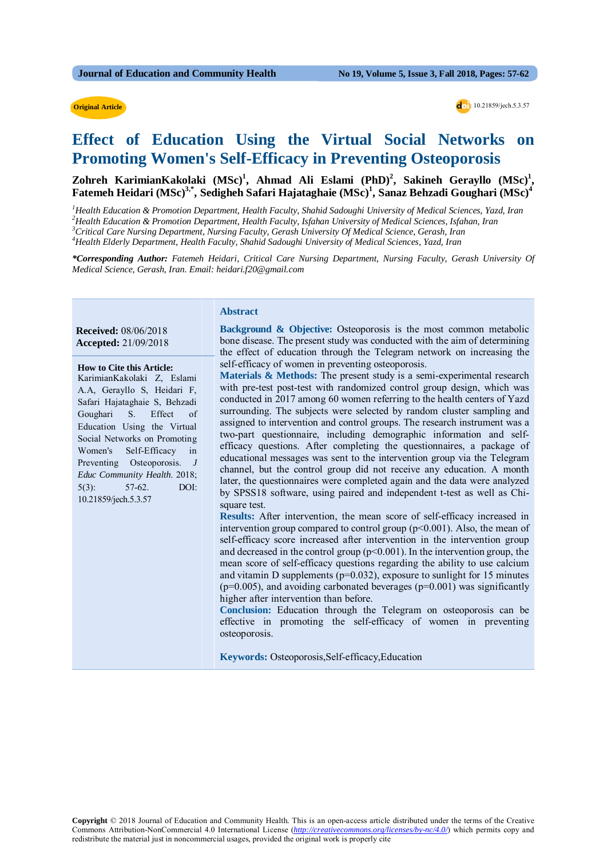#### **Original Article**

**Original Article dollars** 10.21859/jech.5.3.57

# **Effect of Education Using the Virtual Social Networks on Promoting Women's Self-Efficacy in Preventing Osteoporosis**

Zohreh KarimianKakolaki (MSc)<sup>1</sup>, Ahmad Ali Eslami (PhD)<sup>2</sup>, Sakineh Gerayllo (MSc)<sup>1</sup>, **Fatemeh Heidari (MSc)3,\*, Sedigheh Safari Hajataghaie (MSc)1 , Sanaz Behzadi Goughari (MSc)4**

 *Health Education & Promotion Department, Health Faculty, Shahid Sadoughi University of Medical Sciences, Yazd, Iran Health Education & Promotion Department, Health Faculty, Isfahan University of Medical Sciences, Isfahan, Iran Critical Care Nursing Department, Nursing Faculty, Gerash University Of Medical Science, Gerash, Iran Health Elderly Department, Health Faculty, Shahid Sadoughi University of Medical Sciences, Yazd, Iran*

*\*Corresponding Author: Fatemeh Heidari, Critical Care Nursing Department, Nursing Faculty, Gerash University Of Medical Science, Gerash, Iran. Email: heidari.f20@gmail.com*

#### **Abstract**

 **Received:** 08/06/2018  **Accepted:** 21/09/2018

#### **How to Cite this Article:**

KarimianKakolaki Z, Eslami A.A, Gerayllo S, Heidari F, Safari Hajataghaie S, Behzadi Goughari S. Effect of Education Using the Virtual Social Networks on Promoting Women's Self-Efficacy in Preventing Osteoporosis. *J Educ Community Health*. 2018; 5(3): 57-62. DOI: 10.21859/jech.5.3.57

**Background & Objective:** Osteoporosis is the most common metabolic bone disease. The present study was conducted with the aim of determining the effect of education through the Telegram network on increasing the self-efficacy of women in preventing osteoporosis.

**Materials & Methods:** The present study is a semi-experimental research with pre-test post-test with randomized control group design, which was conducted in 2017 among 60 women referring to the health centers of Yazd surrounding. The subjects were selected by random cluster sampling and assigned to intervention and control groups. The research instrument was a two-part questionnaire, including demographic information and selfefficacy questions. After completing the questionnaires, a package of educational messages was sent to the intervention group via the Telegram channel, but the control group did not receive any education. A month later, the questionnaires were completed again and the data were analyzed by SPSS18 software, using paired and independent t-test as well as Chisquare test.

**Results:** After intervention, the mean score of self-efficacy increased in intervention group compared to control group  $(p<0.001)$ . Also, the mean of self-efficacy score increased after intervention in the intervention group and decreased in the control group  $(p<0.001)$ . In the intervention group, the mean score of self-efficacy questions regarding the ability to use calcium and vitamin D supplements ( $p=0.032$ ), exposure to sunlight for 15 minutes  $(p=0.005)$ , and avoiding carbonated beverages  $(p=0.001)$  was significantly higher after intervention than before.

**Conclusion:** Education through the Telegram on osteoporosis can be effective in promoting the self-efficacy of women in preventing osteoporosis.

**Keywords:** Osteoporosis,Self-efficacy,Education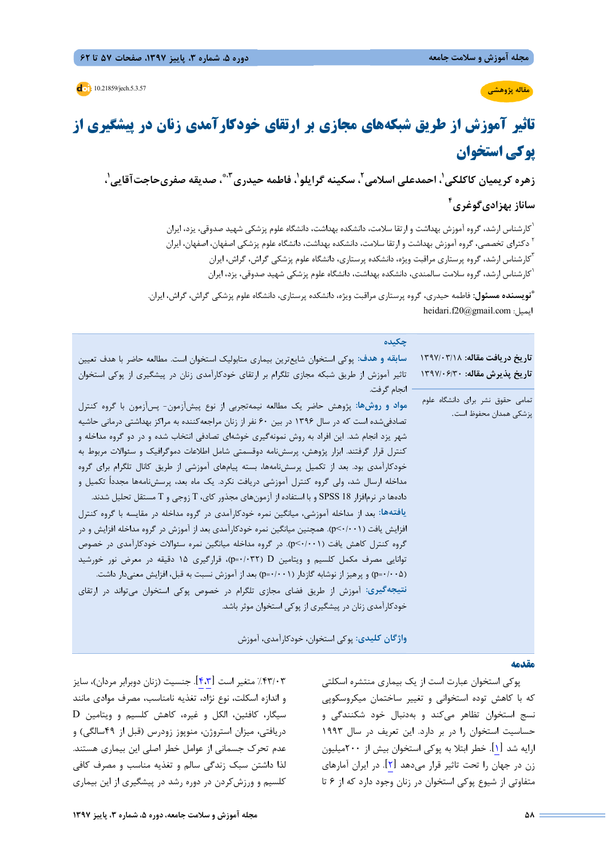**مقاله پژوهشي**

**:** 10.21859/jech.5.3.57

# **تاثير آموزش از طريق شبكههاي مجازي بر ارتقاي خودكارآمدي زنان در پيشگيري از پوكي استخوان**

زهره کریمیان کاکلکی'، احمدعلی اسلامی<sup>۲</sup>، سکینه گرایلو<sup>י</sup>، فاطمه حیدری<sup>۳،</sup>ّ، صدیقه صفریحاجتآقایی'، **4 ساناز بهزاديگوغري**

> كارشناس ارشد، گروه آموزش بهداشت و ارتقا سلامت، دانشكده بهداشت، دانشگاه علوم پزشكي شهيد صدوقي، يزد، ايران <sup>1</sup> <sup>۲</sup> دكتراي تخصصي، گروه آموزش بهداشت و ارتقا سلامت، دانشكده بهداشت، دانشگاه علوم پزشكي اصفهان، اصفهان، ايران <sup>7</sup>كارشناس ارشد، گروه پرستارى مراقبت ويژه، دانشكده پرستارى، دانشگاه علوم پزشكي گراش، گراش، ايران<br><sup>ا</sup>كارشناس ارشد، گروه سلامت سالمندى، دانشكده بهداشت، دانشگاه علوم پزشكي شهيد صدوقي، يزد، ايران

**نويسنده مسئول:** فاطمه حيدري، گروه پرستاري مراقبت ويژه، دانشكده پرستاري، دانشگاه علوم پزشكي گراش، گراش، ايران. **\*** heidari.f20@gmail.com :ايميل

| چکیده                                                                                          |                                  |
|------------------------------------------------------------------------------------------------|----------------------------------|
| سابقه و هدف: پوکی استخوان شایعترین بیماری متابولیک استخوان است. مطالعه حاضر با هدف تعیین       | تاریخ دریافت مقاله: ۱۳۹۷/۰۳/۱۸   |
| تاثیر آموزش از طریق شبکه مجازی تلگرام بر ارتقای خودکارآمدی زنان در پیشگیری از پوکی استخوان     | تاريخ پذيرش مقاله: ١٣٩٧/٠۶/٣٠    |
| ·  انجام گرفت.                                                                                 |                                  |
| مواد و روشها: پژوهش حاضر یک مطالعه نیمهتجربی از نوع پیشآزمون- پسآزمون با گروه کنترل            | تمامی حقوق نشر برای دانشگاه علوم |
| تصادفی شده است که در سال ۱۳۹۶ در بین ۶۰ نفر از زنان مراجعه کننده به مراکز بهداشتی درمانی حاشیه | پزشكى همدان محفوظ است.           |
| شهر یزد انجام شد. این افراد به روش نمونهگیری خوشهای تصادفی انتخاب شده و در دو گروه مداخله و    |                                  |
| کنترل قرار گرفتند. ابزار پژوهش، پرسشiامه دوقسمتی شامل اطلاعات دموگرافیک و سئوالات مربوط به     |                                  |
| خودکارآمدی بود. بعد از تکمیل پرسشنامهها، بسته پیامهای آموزشی از طریق کانال تلگرام برای گروه    |                                  |
| مداخله ارسال شد، ولی گروه کنترل آموزشی دریافت نکرد. یک ماه بعد، پرسشنامهها مجدداً تکمیل و      |                                  |
| دادهها در نرمافزار SPSS 18 و با استفاده از آزمونهای مجذور کای، T زوجی و T مستقل تحلیل شدند.    |                                  |
| یافتهها: بعد از مداخله آموزشی، میانگین نمره خودکارآمدی در گروه مداخله در مقایسه با گروه کنترل  |                                  |
| افزایش یافت (p<۰/۰۰۱). همچنین میانگین نمره خودکارآمدی بعد از آموزش در گروه مداخله افزایش و در  |                                  |
| گروه کنترل کاهش یافت (p<۰/۰۰۱). در گروه مداخله میانگین نمره سئوالات خودکارآمدی در خصوص         |                                  |
| توانایی مصرف مکمل کلسیم و ویتامین (p=۰/۰۳۲)، قرارگیری ۱۵ دقیقه در معرض نور خورشید              |                                  |
| (p=٠/٠٠۵) و پرهیز از نوشابه گازدار (p=٠/٠٠١) بعد از آموزش نسبت به قبل، افزایش معنیدار داشت.    |                                  |
| <b>نتیجهگیری</b> : آموزش از طریق فضای مجازی تلگرام در خصوص پوکی استخوان میتواند در ارتقای      |                                  |
| خودکارآمدی زنان در پیشگیری از پوکی استخوان موثر باشد.                                          |                                  |
|                                                                                                |                                  |
|                                                                                                |                                  |

**واژگان كليدي:** پوكي استخوان، خودكارآمدي، آموزش

#### **مقدمه**

پوكي استخوان عبارت است از يك بيماري منتشره اسكلتي كه با كاهش توده استخواني و تغيير ساختمان ميكروسكوپي نسج استخوان تظاهر ميكند و بهدنبال خود شكنندگي و حساسيت استخوان را در بر دارد. اين تعريف در سال 1993 ارايه شد [1]. خطر ابتلا به پوكي استخوان بيش از 200ميليون زن در جهان را تحت تاثير قرار ميدهد [2]. در ايران آمارهاي متفاوتي از شيوع پوكي استخوان در زنان وجود دارد كه از 6 تا

%43/03 متغير است [4،3]. جنسيت (زنان دوبرابر مردان)، سايز و اندازه اسكلت، نوع نژاد، تغذيه نامناسب، مصرف موادي مانند سيگار، كافئين، الكل و غيره، كاهش كلسيم و ويتامين D دريافتي، ميزان استروژن، منوپوز زودرس (قبل از 49سالگي) و عدم تحرك جسماني از عوامل خطر اصلي اين بيماري هستند. لذا داشتن سبك زندگي سالم و تغذيه مناسب و مصرف كافي كلسيم و ورزشكردن در دوره رشد در پيشگيري از اين بيماري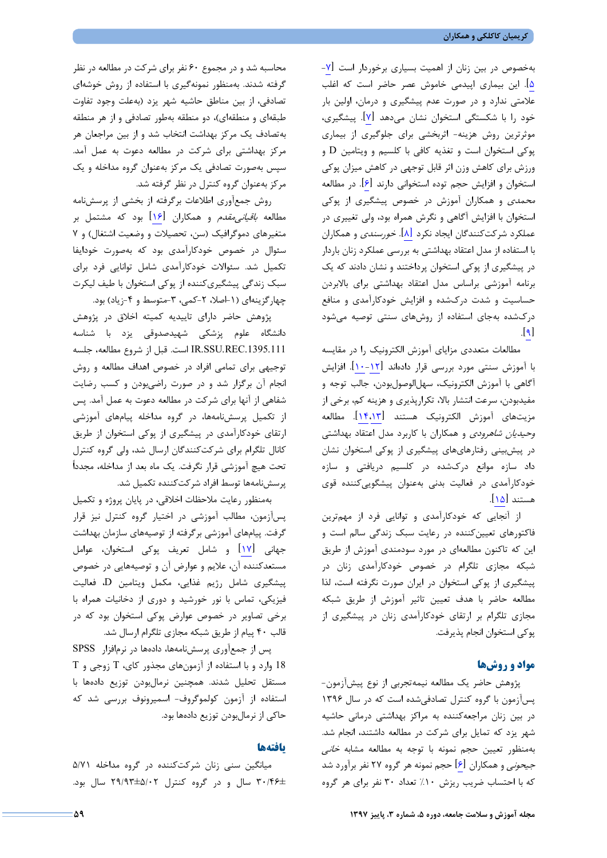بهخصوص در بين زنان از اهميت بسياري برخوردار است [-7 5]. اين بيماري اپيدمي خاموش عصر حاضر است كه اغلب علامتي ندارد و در صورت عدم پيشگيري و درمان، اولين بار خود را با شكستگي استخوان نشان ميدهد [7]. پيشگيري، موثرترين روش هزينه- اثربخشي براي جلوگيري از بيماري پوكي استخوان است و تغذيه كافي با كلسيم و ويتامين D و ورزش براي كاهش وزن اثر قابل توجهي در كاهش ميزان پوكي استخوان و افزايش حجم توده استخواني دارند [6]. در مطالعه محمدي و همكاران آموزش در خصوص پيشگيري از پوكي استخوان با افزايش آگاهي و نگرش همراه بود، ولي تغييري در عملكرد شركتكنندگان ايجاد نكرد [8]. خورسندي و همكاران با استفاده از مدل اعتقاد بهداشتي به بررسي عملكرد زنان باردار در پيشگيري از پوكي استخوان پرداختند و نشان دادند كه يك برنامه آموزشي براساس مدل اعتقاد بهداشتي براي بالابردن حساسيت و شدت دركشده و افزايش خودكارآمدي و منافع دركشده بهجاي استفاده از روشهاي سنتي توصيه ميشود  $\lfloor 9 \rfloor$ 

مطالعات متعددي مزاياي آموزش الكترونيك را در مقايسه با آموزش سنتي مورد بررسي قرار دادهاند [-12 10]. افزايش آگاهي با آموزش الكترونيك، سهلالوصولبودن، جالب توجه و مفيدبودن، سرعت انتشار بالا، تكرارپذيري و هزينه كم، برخي از مزيتهاي آموزش الكترونيك هستند [14،13]. مطالعه وحيديان شاهرودي و همكاران با كاربرد مدل اعتقاد بهداشتي در پيشبيني رفتارهايهاي پيشگيري از پوكي استخوان نشان داد سازه موانع دركشده در كلسيم دريافتي و سازه خودكارآمدي در فعاليت بدني بهعنوان پيشگوييكننده قوي هستند [15].

از آنجايي كه خودكارآمدي و توانايي فرد از مهمترين فاكتورهاي تعيينكننده در رعايت سبك زندگي سالم است و اين كه تاكنون مطالعهاي در مورد سودمندي آموزش از طريق شبكه مجازي تلگرام در خصوص خودكارآمدي زنان در پيشگيري از پوكي استخوان در ايران صورت نگرفته است، لذا مطالعه حاضر با هدف تعيين تاثير آموزش از طريق شبكه مجازي تلگرام بر ارتقاي خودكارآمدي زنان در پيشگيري از پوكي استخوان انجام پذيرفت.

## **مواد و روشها**

پژوهش حاضر يك مطالعه نيمهتجربي از نوع پيشآزمون- پسآزمون با گروه كنترل تصادفيشده است كه در سال 1396 در بين زنان مراجعهكننده به مراكز بهداشتي درماني حاشيه شهر يزد كه تمايل براي شركت در مطالعه داشتند، انجام شد. بهمنظور تعيين حجم نمونه با توجه به مطالعه مشابه *خاني* جيحوني و همكاران [6] حجم نمونه هر گروه 27 نفر برآورد شد كه با احتساب ضريب ريزش ١٠٪ تعداد ٣٠ نفر براي هر گروه

**مجله آموزش و سلامت جامعه، دوره ،5 شماره ،3 پاييز 1397 59**

محاسبه شد و در مجموع 60 نفر براي شركت در مطالعه در نظر گرفته شدند. بهمنظور نمونهگيري با استفاده از روش خوشهاي تصادفي، از بين مناطق حاشيه شهر يزد (بهعلت وجود تفاوت طبقهاي و منطقهاي)، دو منطقه بهطور تصادفي و از هر منطقه بهتصادف يك مركز بهداشت انتخاب شد و از بين مراجعان هر مركز بهداشتي براي شركت در مطالعه دعوت به عمل آمد. سپس بهصورت تصادفي يك مركز بهعنوان گروه مداخله و يك مركز بهعنوان گروه كنترل در نظر گرفته شد.

روش جمعآوري اطلاعات برگرفته از بخشي از پرسشنامه مطالعه *باقياني مقدم* و همكاران [1۶] بود كه مشتمل بر متغيرهاي دموگرافيك (سن، تحصيلات و وضعيت اشتغال) و 7 سئوال در خصوص خودكارآمدي بود كه بهصورت خودايفا تكميل شد. سئوالات خودكارآمدي شامل توانايي فرد براي سبك زندگي پيشگيريكننده از پوكي استخوان با طيف ليكرت چهارگزينهاي (١-اصلا، ٢-كمي، ٣-متوسط و ۴-زياد) بود.

پژوهش حاضر داراي تاييديه كميته اخلاق در پژوهش دانشگاه علوم پزشكي شهيدصدوقي يزد با شناسه .1395.111REC.SSU.IR است. قبل از شروع مطالعه، جلسه توجيهي براي تمامي افراد در خصوص اهداف مطالعه و روش انجام آن برگزار شد و در صورت راضيبودن و كسب رضايت شفاهي از آنها براي شركت در مطالعه دعوت به عمل آمد. پس از تكميل پرسشنامهها، در گروه مداخله پيامهاي آموزشي ارتقاي خودكارآمدي در پيشگيري از پوكي استخوان از طريق كانال تلگرام براي شركتكنندگان ارسال شد، ولي گروه كنترل تحت هيچ آموزشي قرار نگرفت. يك ماه بعد از مداخله، مجدداً پرسشنامهها توسط افراد شركتكننده تكميل شد.

بهمنظور رعايت ملاحظات اخلاقي، در پايان پروژه و تكميل پسآزمون، مطالب آموزشي در اختيار گروه كنترل نيز قرار گرفت. پيامهاي آموزشي برگرفته از توصيههاي سازمان بهداشت جهاني [17] و شامل تعريف پوكي استخوان، عوامل مستعدكننده آن، علايم و عوارض آن و توصيههايي در خصوص پيشگيري شامل رژيم غذايي، مكمل ويتامين D، فعاليت فيزيكي، تماس با نور خورشيد و دوري از دخانيات همراه با برخي تصاوير در خصوص عوارض پوكي استخوان بود كه در قالب 40 پيام از طريق شبكه مجازي تلگرام ارسال شد.

پس از جمعآوري پرسشنامهها، دادهها در نرمافزار SPSS 18 وارد و با استفاده از آزمونهاي مجذور كاي، T زوجي و T مستقل تحليل شدند. همچنين نرمالبودن توزيع دادهها با استفاده از آزمون كولموگروف- اسميرونوف بررسي شد كه حاكي از نرمالبودن توزيع دادهها بود.

#### **يافتهها**

ميانگين سني زنان شركتكننده در گروه مداخله 5/71 30/46± سال و در گروه كنترل 29/93±5/02 سال بود.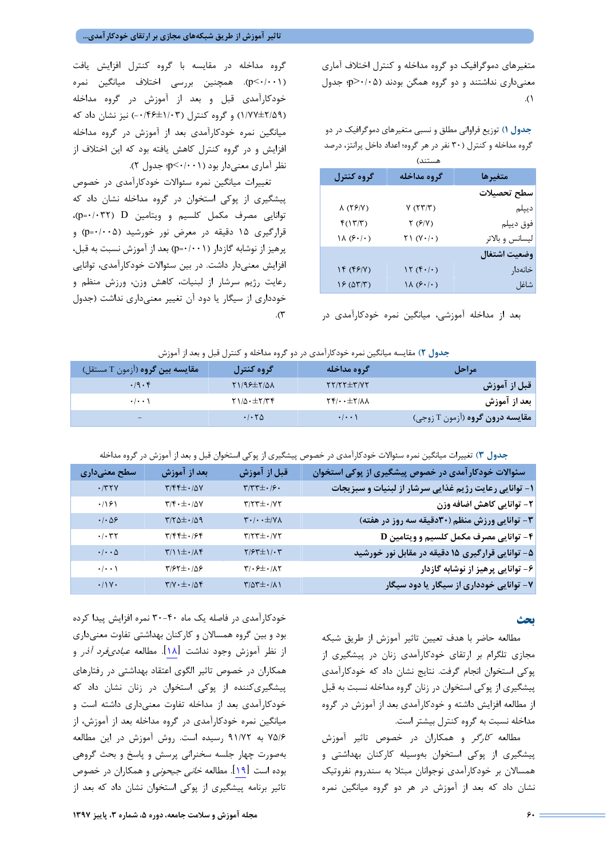متغيرهاي دموگرافيك دو گروه مداخله و كنترل اختلاف آماري معنيداري نداشتند و دو گروه همگن بودند (0/05<p؛ جدول .(1

**جدول 1)** توزيع فراواني مطلق و نسبي متغيرهاي دموگرافيك در دو گروه مداخله و كنترل (30 نفر در هر گروه؛ اعداد داخل پرانتز، درصد

|              | هستند)                                 |                 |  |  |
|--------------|----------------------------------------|-----------------|--|--|
| گروه کنترل   | گروه مداخله                            | متغيرها         |  |  |
|              |                                        | سطح تحصيلات     |  |  |
| 8 (۲۶/۷)     | $V$ (۲۳/۳)                             | دیپلم           |  |  |
| f(17/T)      | $Y(\mathcal{F}/Y)$                     | فوق ديپلم       |  |  |
| (۰/۰) ۱۸     | ۲۱ (۲۰/۰)                              | ليسانس و بالاتر |  |  |
| وضعيت اشتغال |                                        |                 |  |  |
| 14 (۴۶/۷)    | $\mathcal{N}(\mathfrak{f}\cdot/\cdot)$ | خانەدار         |  |  |
| 15(0T/T)     | $\lambda(\xi \cdot/\cdot)$             | شاغل            |  |  |

بعد از مداخله آموزشي، ميانگين نمره خودكارآمدي در

گروه مداخله در مقايسه با گروه كنترل افزايش يافت (0/001>p(. همچنين بررسي اختلاف ميانگين نمره خودكارآمدي قبل و بعد از آموزش در گروه مداخله (1/77±2/59) و گروه كنترل (-0/46±1/03 ) نيز نشان داد كه ميانگين نمره خودكارآمدي بعد از آموزش در گروه مداخله افزايش و در گروه كنترل كاهش يافته بود كه اين اختلاف از نظر آماري معنيدار بود (0/001>p؛ جدول 2).

تغييرات ميانگين نمره سئوالات خودكارآمدي در خصوص پيشگيري از پوكي استخوان در گروه مداخله نشان داد كه توانايي مصرف مكمل كلسيم و ويتامين D) 0/032=p(، قرارگيري 15 دقيقه در معرض نور خورشيد (0/005=p (و پرهيز از نوشابه گازدار (0/001=p (بعد از آموزش نسبت به قبل، افزايش معنيدار داشت. در بين سئوالات خودكارآمدي، توانايي رعايت رژيم سرشار از لبنيات، كاهش وزن، ورزش منظم و خودداري از سيگار يا دود آن تغيير معنيداري نداشت (جدول  $\cdot$   $\mathcal{L}$ 

## **جدول 2)** مقايسه ميانگين نمره خودكارآمدي در دو گروه مداخله و كنترل قبل و بعد از آموزش

| مقايسه بين گروه (آزمون T مستقل) | گروه کنترل                                                                              | گروه مداخله                                      | 7مراجل                                 |
|---------------------------------|-----------------------------------------------------------------------------------------|--------------------------------------------------|----------------------------------------|
| .9.5                            | $Y1/95\pm Y/2\lambda$                                                                   | $YY/YY \pm Y/YY$                                 | قبل از آموزش                           |
| $\cdot$ $\cdot$ $\cdot$         | $\uparrow$ $\uparrow$ $\uparrow$ $\uparrow$ $\uparrow$ $\uparrow$ $\uparrow$ $\uparrow$ | $\Upsilon f/\cdots \pm \Upsilon/\Lambda \Lambda$ | بعد از آموزش                           |
| -                               | .700                                                                                    | $\cdot/\cdot\cdot$                               | مقایسه <b>درون گروه</b> (آزمون T زوجی) |

**جدول 3)** تغييرات ميانگين نمره سئوالات خودكارآمدي در خصوص پيشگيري از پوكي استخوان قبل و بعد از آموزش در گروه مداخله

| سطح معنیداری                                                                             | بعد از آموزش                                                            | قبل از آموزش                                                                                                           | سئوالات خودکار آمدی در خصوص پیشگیری از پوکی استخوان       |
|------------------------------------------------------------------------------------------|-------------------------------------------------------------------------|------------------------------------------------------------------------------------------------------------------------|-----------------------------------------------------------|
| .777V                                                                                    | $\mathbf{Y}/\mathbf{F}\mathbf{F}\pm\boldsymbol{\cdot}/\Delta\mathbf{Y}$ | $\mathbf{y}^{\prime} \mathbf{y}^{\prime} \mathbf{x} + \mathbf{y}^{\prime} \mathbf{y} + \mathbf{y}^{\prime} \mathbf{y}$ | ۱- توانایی رعایت رژیم غذایی سرشار از لبنیات و سبزیجات     |
| .791                                                                                     | $\mathbf{y}/\mathbf{y}\cdot\mathbf{y}+\mathbf{y}/\mathbf{y}$            | $\mathbf{Y}/\mathbf{Y}\mathbf{T}\pm\boldsymbol{\cdot}/\mathbf{Y}\mathbf{Y}$                                            | ٢- توانايي كاهش اضافه وزن                                 |
| $\cdot$ / $\cdot$ $\Delta$ ۶                                                             | $\mathbf{r}/\mathbf{r}\Delta\pm\cdot/\Delta\mathbf{q}$                  | $\mathbf{Y}\boldsymbol{\cdot}/\boldsymbol{\cdot}\boldsymbol{\cdot} \pm/\mathbf{Y}\boldsymbol{\Lambda}$                 | ۳- توانایی ورزش منظم (۳۰دقیقه سه روز در هفته)             |
| $\cdot$ / $\cdot$ $\uparrow$ $\uparrow$                                                  | $\mathbf{y}/\mathbf{y} + \mathbf{y}/\mathbf{y}$                         | $\mathbf{Y}/\mathbf{Y}\mathbf{Y}\pm\boldsymbol{\cdot}/\mathbf{Y}\mathbf{Y}$                                            | $\mathbf D$ توانایی مصرف مکمل کلسیم و ویتامین $\mathbf f$ |
| $\boldsymbol{\cdot}\, \boldsymbol{\cdot}\,\boldsymbol{\cdot}\,\boldsymbol{\vartriangle}$ | $\frac{1}{\sqrt{2}}$                                                    | $Y/\mathcal{F} \pm 1/\cdot Y$                                                                                          | ۵ - توانایی قرارگیری ۱۵ دقیقه در مقابل نور خورشید         |
| $\cdot$ / $\cdot$ /                                                                      | $\mathbf{y}/\mathbf{y}+\mathbf{y}/\mathbf{y}$                           | $\mathbf{r}/\cdot\mathbf{r}\pm\cdot/\mathbf{r}$                                                                        | ۶- توانایی پرهیز از نوشابه گازدار                         |
| $\cdot/\gamma \cdot$                                                                     | $\mathbf{y}/\mathbf{y} \cdot \pm \cdot / \mathbf{y}$                    | $\frac{1}{2}$                                                                                                          | ۷- توانایی خودداری از سیگار یا دود سیگار                  |

#### **بحث**

مطالعه حاضر با هدف تعيين تاثير آموزش از طريق شبكه مجازي تلگرام بر ارتقاي خودكارآمدي زنان در پيشگيري از پوكي استخوان انجام گرفت. نتايج نشان داد كه خودكارآمدي پيشگيري از پوكي استخوان در زنان گروه مداخله نسبت به قبل از مطالعه افزايش داشته و خودكارآمدي بعد از آموزش در گروه مداخله نسبت به گروه كنترل بيشتر است.

مطالعه كارگر و همكاران در خصوص تاثير آموزش پيشگيري از پوكي استخوان بهوسيله كاركنان بهداشتي و همسالان بر خودكارآمدي نوجوانان مبتلا به سندروم نفروتيك نشان داد كه بعد از آموزش در هر دو گروه ميانگين نمره

خودكارآمدي در فاصله يك ماه -40 30 نمره افزايش پيدا كرده بود و بين گروه همسالان و كاركنان بهداشتي تفاوت معنيداري از نظر آموزش وجود نداشت [18]. مطالعه عباديفرد آذر و همكاران در خصوص تاثير الگوي اعتقاد بهداشتي در رفتارهاي پيشگيريكننده از پوكي استخوان در زنان نشان داد كه خودكارآمدي بعد از مداخله تفاوت معنيداري داشته است و ميانگين نمره خودكارآمدي در گروه مداخله بعد از آموزش، از 75/6 به 91/72 رسيده است. روش آموزش در اين مطالعه بهصورت چهار جلسه سخنراني پرسش و پاسخ و بحث گروهي بوده است <sup>[</sup>19]. مطالعه *خاني جيحوني* و همكاران در خصوص تاثير برنامه پيشگيري از پوكي استخوان نشان داد كه بعد از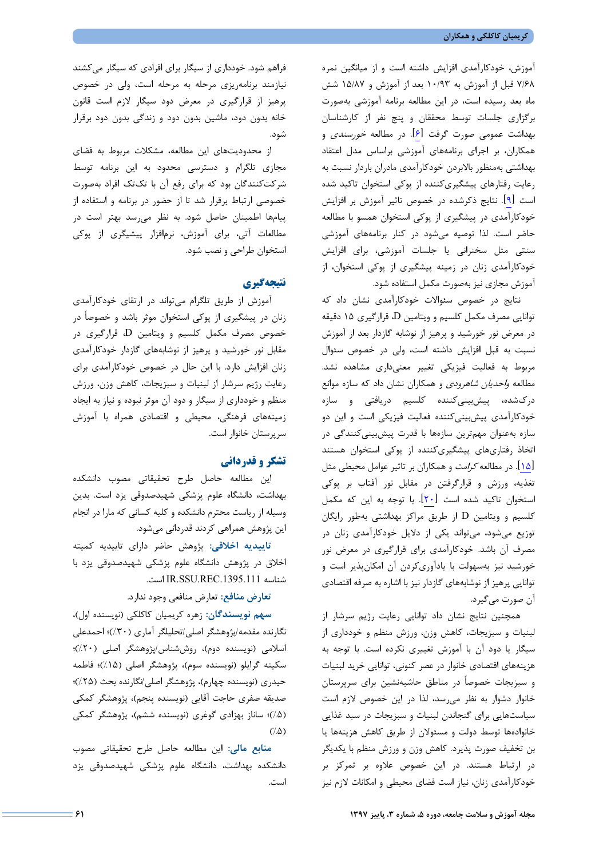آموزش، خودكارآمدي افزايش داشته است و از ميانگين نمره 7/68 قبل از آموزش به 10/93 بعد از آموزش و 15/87 شش ماه بعد رسيده است، در اين مطالعه برنامه آموزشي بهصورت برگزاري جلسات توسط محققان و پنج نفر از كارشناسان بهداشت عمومي صورت گرفت [6]. در مطالعه خورسندي و همكاران، بر اجراي برنامههاي آموزشي براساس مدل اعتقاد بهداشتي بهمنظور بالابردن خودكارآمدي مادران باردار نسبت به رعايت رفتارهاي پيشگيريكننده از پوكي استخوان تاكيد شده است [9]. نتايج ذكرشده در خصوص تاثير آموزش بر افزايش خودكارآمدي در پيشگيري از پوكي استخوان همسو با مطالعه حاضر است. لذا توصيه ميشود در كنار برنامههاي آموزشي سنتي مثل سخنراني يا جلسات آموزشي، براي افزايش خودكارآمدي زنان در زمينه پيشگيري از پوكي استخوان، از آموزش مجازي نيز بهصورت مكمل استفاده شود.

نتايج در خصوص سئوالات خودكارآمدي نشان داد كه توانايي مصرف مكمل كلسيم و ويتامين D، قرارگيري 15 دقيقه در معرض نور خورشيد و پرهيز از نوشابه گازدار بعد از آموزش نسبت به قبل افزايش داشته است، ولي در خصوص سئوال مربوط به فعاليت فيزيكي تغيير معنيداري مشاهده نشد. مطالعه *واحديان شاهرودي* و همكاران نشان داد كه سازه موانع دركشده، پيشبينيكننده كلسيم دريافتي و سازه خودكارآمدي پيشبينيكننده فعاليت فيزيكي است و اين دو سازه بهعنوان مهمترين سازهها با قدرت پيشبينيكنندگي در اتخاذ رفتاريهاي پيشگيريكننده از پوكي استخوان هستند [15]. در مطالعه كرامت و همكاران بر تاثير عوامل محيطي مثل تغذيه، ورزش و قرارگرفتن در مقابل نور آفتاب بر پوكي استخوان تاكيد شده است [20]. با توجه به اين كه مكمل كلسيم و ويتامين D از طريق مراكز بهداشتي بهطور رايگان توزيع ميشود، ميتواند يكي از دلايل خودكارآمدي زنان در مصرف آن باشد. خودكارآمدي براي قرارگيري در معرض نور خورشيد نيز بهسهولت با يادآوريكردن آن امكانپذير است و توانايي پرهيز از نوشابههاي گازدار نيز با اشاره به صرفه اقتصادي آن صورت ميگيرد.

همچنين نتايج نشان داد توانايي رعايت رژيم سرشار از لبنيات و سبزيجات، كاهش وزن، ورزش منظم و خودداري از سيگار يا دود آن با آموزش تغييري نكرده است. با توجه به هزينههاي اقتصادي خانوار در عصر كنوني، توانايي خريد لبنيات و سبزيجات خصوصاً در مناطق حاشيهنشين براي سرپرستان خانوار دشوار به نظر ميرسد، لذا در اين خصوص لازم است سياستهايي براي گنجاندن لبنيات و سبزيجات در سبد غذايي خانوادهها توسط دولت و مسئولان از طريق كاهش هزينهها يا بن تخفيف صورت پذيرد. كاهش وزن و ورزش منظم با يكديگر در ارتباط هستند. در اين خصوص علاوه بر تمركز بر خودكارآمدي زنان، نياز است فضاي محيطي و امكانات لازم نيز است.

فراهم شود. خودداري از سيگار براي افرادي كه سيگار ميكشند نيازمند برنامهريزي مرحله به مرحله است، ولي در خصوص پرهيز از قرارگيري در معرض دود سيگار لازم است قانون خانه بدون دود، ماشين بدون دود و زندگي بدون دود برقرار شود.

از محدوديتهاي اين مطالعه، مشكلات مربوط به فضاي مجازي تلگرام و دسترسي محدود به اين برنامه توسط شركتكنندگان بود كه براي رفع آن با تكتك افراد بهصورت خصوصي ارتباط برقرار شد تا از حضور در برنامه و استفاده از پيامها اطمينان حاصل شود. به نظر ميرسد بهتر است در مطالعات آتي، براي آموزش، نرمافزار پيشيگري از پوكي استخوان طراحي و نصب شود.

# **نتيجهگيري**

آموزش از طريق تلگرام ميتواند در ارتقاي خودكارآمدي زنان در پيشگيري از پوكي استخوان موثر باشد و خصوصاً در خصوص مصرف مكمل كلسيم و ويتامين D، قرارگيري در مقابل نور خورشيد و پرهيز از نوشابههاي گازدار خودكارآمدي زنان افزايش دارد. با اين حال در خصوص خودكارآمدي براي رعايت رژيم سرشار از لبنيات و سبزيجات، كاهش وزن، ورزش منظم و خودداري از سيگار و دود آن موثر نبوده و نياز به ايجاد زمينههاي فرهنگي، محيطي و اقتصادي همراه با آموزش سرپرستان خانوار است.

### **تشكر و قدرداني**

اين مطالعه حاصل طرح تحقيقاتي مصوب دانشكده بهداشت، دانشگاه علوم پزشكي شهيدصدوقي يزد است. بدين وسيله از رياست محترم دانشكده و كليه كساني كه مارا در انجام اين پژوهش همراهي كردند قدرداني ميشود.

**تاييديه اخلاقي:** پژوهش حاضر داراي تاييديه كميته اخلاق در پژوهش دانشگاه علوم پزشكي شهيدصدوقي يزد با .است IR.SSU.REC.1395.111 شناسه

**تعارض منافع:** تعارض منافعي وجود ندارد.

**سهم نويسندگان:** زهره كريميان كاكلكي (نويسنده اول)، نگارنده مقدمه/پژوهشگر اصلي/تحليلگر آماري (%30)؛ احمدعلي اسلامي (نويسنده دوم)، روششناس/پژوهشگر اصلي (%20)؛ سكينه گرايلو (نويسنده سوم)، پژوهشگر اصلي (%15)؛ فاطمه حيدري (نويسنده چهارم)، پژوهشگر اصلي/نگارنده بحث (%25)؛ صديقه صفري حاجت آقايي (نويسنده پنجم)، پژوهشگر كمكي (%5)؛ ساناز بهزادي گوغري (نويسنده ششم)، پژوهشگر كمكي  $($ . $\Delta)$ 

**منابع مالي:** اين مطالعه حاصل طرح تحقيقاتي مصوب دانشكده بهداشت، دانشگاه علوم پزشكي شهيدصدوقي يزد